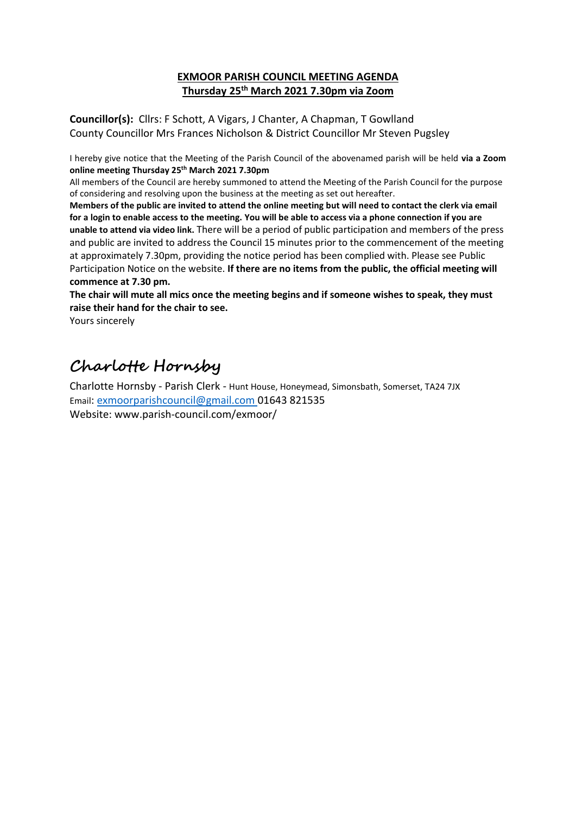## **EXMOOR PARISH COUNCIL MEETING AGENDA Thursday 25 th March 2021 7.30pm via Zoom**

**Councillor(s):** Cllrs: F Schott, A Vigars, J Chanter, A Chapman, T Gowlland County Councillor Mrs Frances Nicholson & District Councillor Mr Steven Pugsley

I hereby give notice that the Meeting of the Parish Council of the abovenamed parish will be held **via a Zoom online meeting Thursday 25 th March 2021 7.30pm** 

All members of the Council are hereby summoned to attend the Meeting of the Parish Council for the purpose of considering and resolving upon the business at the meeting as set out hereafter.

**Members of the public are invited to attend the online meeting but will need to contact the clerk via email for a login to enable access to the meeting. You will be able to access via a phone connection if you are unable to attend via video link.** There will be a period of public participation and members of the press and public are invited to address the Council 15 minutes prior to the commencement of the meeting at approximately 7.30pm, providing the notice period has been complied with. Please see Public Participation Notice on the website. **If there are no items from the public, the official meeting will commence at 7.30 pm.**

**The chair will mute all mics once the meeting begins and if someone wishes to speak, they must raise their hand for the chair to see.** 

Yours sincerely

## **Charlotte Hornsby**

Charlotte Hornsby - Parish Clerk - Hunt House, Honeymead, Simonsbath, Somerset, TA24 7JX Email: exmoorparishcouncil@gmail.com 01643 821535 Website: www.parish-council.com/exmoor/